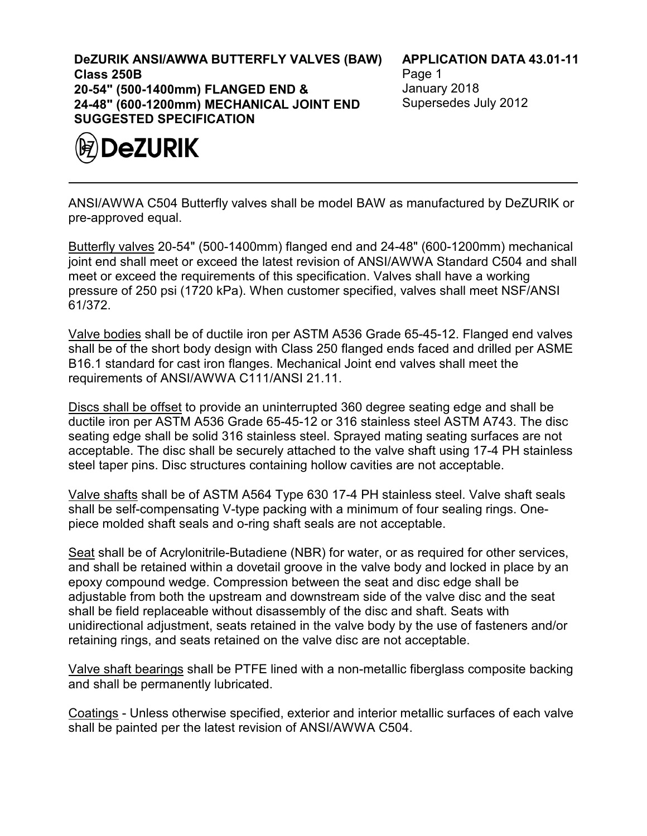**DeZURIK ANSI/AWWA BUTTERFLY VALVES (BAW) Class 250B 20-54" (500-1400mm) FLANGED END & 24-48" (600-1200mm) MECHANICAL JOINT END SUGGESTED SPECIFICATION**



**APPLICATION DATA 43.01-11**

Page 1 January 2018 Supersedes July 2012

ANSI/AWWA C504 Butterfly valves shall be model BAW as manufactured by DeZURIK or pre-approved equal.

Butterfly valves 20-54" (500-1400mm) flanged end and 24-48" (600-1200mm) mechanical joint end shall meet or exceed the latest revision of ANSI/AWWA Standard C504 and shall meet or exceed the requirements of this specification. Valves shall have a working pressure of 250 psi (1720 kPa). When customer specified, valves shall meet NSF/ANSI 61/372.

Valve bodies shall be of ductile iron per ASTM A536 Grade 65-45-12. Flanged end valves shall be of the short body design with Class 250 flanged ends faced and drilled per ASME B16.1 standard for cast iron flanges. Mechanical Joint end valves shall meet the requirements of ANSI/AWWA C111/ANSI 21.11.

Discs shall be offset to provide an uninterrupted 360 degree seating edge and shall be ductile iron per ASTM A536 Grade 65-45-12 or 316 stainless steel ASTM A743. The disc seating edge shall be solid 316 stainless steel. Sprayed mating seating surfaces are not acceptable. The disc shall be securely attached to the valve shaft using 17-4 PH stainless steel taper pins. Disc structures containing hollow cavities are not acceptable.

Valve shafts shall be of ASTM A564 Type 630 17-4 PH stainless steel. Valve shaft seals shall be self-compensating V-type packing with a minimum of four sealing rings. Onepiece molded shaft seals and o-ring shaft seals are not acceptable.

Seat shall be of Acrylonitrile-Butadiene (NBR) for water, or as required for other services, and shall be retained within a dovetail groove in the valve body and locked in place by an epoxy compound wedge. Compression between the seat and disc edge shall be adjustable from both the upstream and downstream side of the valve disc and the seat shall be field replaceable without disassembly of the disc and shaft. Seats with unidirectional adjustment, seats retained in the valve body by the use of fasteners and/or retaining rings, and seats retained on the valve disc are not acceptable.

Valve shaft bearings shall be PTFE lined with a non-metallic fiberglass composite backing and shall be permanently lubricated.

Coatings - Unless otherwise specified, exterior and interior metallic surfaces of each valve shall be painted per the latest revision of ANSI/AWWA C504.